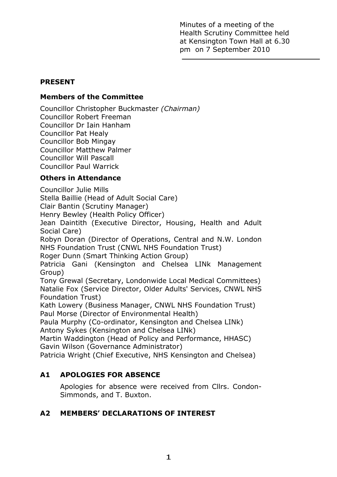Minutes of a meeting of the Health Scrutiny Committee held at Kensington Town Hall at 6.30 pm on 7 September 2010

## **PRESENT**

# **Members of the Committee**

Councillor Christopher Buckmaster *(Chairman)*  Councillor Robert Freeman Councillor Dr Iain Hanham Councillor Pat Healy Councillor Bob Mingay Councillor Matthew Palmer Councillor Will Pascall Councillor Paul Warrick

# **Others in Attendance**

Councillor Julie Mills

Stella Baillie (Head of Adult Social Care)

Clair Bantin (Scrutiny Manager)

Henry Bewley (Health Policy Officer)

Jean Daintith (Executive Director, Housing, Health and Adult Social Care)

Robyn Doran (Director of Operations, Central and N.W. London NHS Foundation Trust (CNWL NHS Foundation Trust)

Roger Dunn (Smart Thinking Action Group)

Patricia Gani (Kensington and Chelsea LINk Management Group)

Tony Grewal (Secretary, Londonwide Local Medical Committees) Natalie Fox (Service Director, Older Adults' Services, CNWL NHS Foundation Trust)

Kath Lowery (Business Manager, CNWL NHS Foundation Trust) Paul Morse (Director of Environmental Health)

Paula Murphy (Co-ordinator, Kensington and Chelsea LINk) Antony Sykes (Kensington and Chelsea LINk)

Martin Waddington (Head of Policy and Performance, HHASC) Gavin Wilson (Governance Administrator)

Patricia Wright (Chief Executive, NHS Kensington and Chelsea)

# **A1 APOLOGIES FOR ABSENCE**

Apologies for absence were received from Cllrs. Condon-Simmonds, and T. Buxton.

# **A2 MEMBERS' DECLARATIONS OF INTEREST**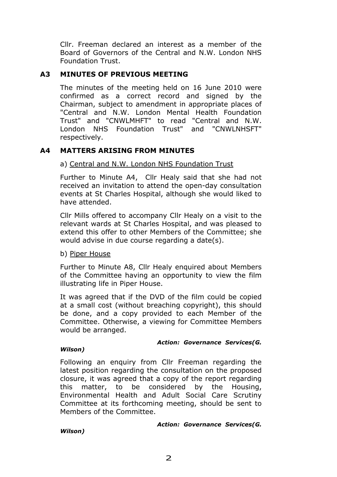Cllr. Freeman declared an interest as a member of the Board of Governors of the Central and N.W. London NHS Foundation Trust.

## **A3 MINUTES OF PREVIOUS MEETING**

The minutes of the meeting held on 16 June 2010 were confirmed as a correct record and signed by the Chairman, subject to amendment in appropriate places of "Central and N.W. London Mental Health Foundation Trust" and "CNWLMHFT" to read "Central and N.W. London NHS Foundation Trust" and "CNWLNHSFT" respectively.

### **A4 MATTERS ARISING FROM MINUTES**

#### a) Central and N.W. London NHS Foundation Trust

 Further to Minute A4, Cllr Healy said that she had not received an invitation to attend the open-day consultation events at St Charles Hospital, although she would liked to have attended.

 Cllr Mills offered to accompany Cllr Healy on a visit to the relevant wards at St Charles Hospital, and was pleased to extend this offer to other Members of the Committee; she would advise in due course regarding a date(s).

b) Piper House

 Further to Minute A8, Cllr Healy enquired about Members of the Committee having an opportunity to view the film illustrating life in Piper House.

 It was agreed that if the DVD of the film could be copied at a small cost (without breaching copyright), this should be done, and a copy provided to each Member of the Committee. Otherwise, a viewing for Committee Members would be arranged.

#### *Action: Governance Services(G.*

#### *Wilson)*

 Following an enquiry from Cllr Freeman regarding the latest position regarding the consultation on the proposed closure, it was agreed that a copy of the report regarding this matter, to be considered by the Housing, Environmental Health and Adult Social Care Scrutiny Committee at its forthcoming meeting, should be sent to Members of the Committee.

*Action: Governance Services(G.* 

*Wilson)*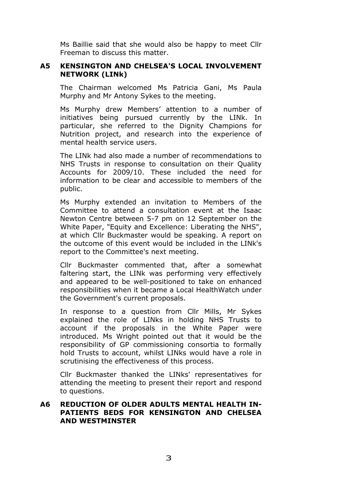Ms Baillie said that she would also be happy to meet Cllr Freeman to discuss this matter.

### **A5 KENSINGTON AND CHELSEA'S LOCAL INVOLVEMENT NETWORK (LINk)**

The Chairman welcomed Ms Patricia Gani, Ms Paula Murphy and Mr Antony Sykes to the meeting.

Ms Murphy drew Members' attention to a number of initiatives being pursued currently by the LINk. In particular, she referred to the Dignity Champions for Nutrition project, and research into the experience of mental health service users.

The LINk had also made a number of recommendations to NHS Trusts in response to consultation on their Quality Accounts for 2009/10. These included the need for information to be clear and accessible to members of the public.

Ms Murphy extended an invitation to Members of the Committee to attend a consultation event at the Isaac Newton Centre between 5-7 pm on 12 September on the White Paper, "Equity and Excellence: Liberating the NHS", at which Cllr Buckmaster would be speaking. A report on the outcome of this event would be included in the LINk's report to the Committee's next meeting.

 Cllr Buckmaster commented that, after a somewhat faltering start, the LINk was performing very effectively and appeared to be well-positioned to take on enhanced responsibilities when it became a Local HealthWatch under the Government's current proposals.

 In response to a question from Cllr Mills, Mr Sykes explained the role of LINks in holding NHS Trusts to account if the proposals in the White Paper were introduced. Ms Wright pointed out that it would be the responsibility of GP commissioning consortia to formally hold Trusts to account, whilst LINks would have a role in scrutinising the effectiveness of this process.

 Cllr Buckmaster thanked the LINks' representatives for attending the meeting to present their report and respond to questions.

### **A6 REDUCTION OF OLDER ADULTS MENTAL HEALTH IN-PATIENTS BEDS FOR KENSINGTON AND CHELSEA AND WESTMINSTER**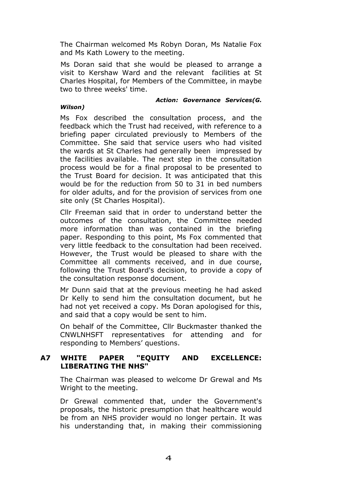The Chairman welcomed Ms Robyn Doran, Ms Natalie Fox and Ms Kath Lowery to the meeting.

Ms Doran said that she would be pleased to arrange a visit to Kershaw Ward and the relevant facilities at St Charles Hospital, for Members of the Committee, in maybe two to three weeks' time.

*Wilson)*

#### *Action: Governance Services(G.*

Ms Fox described the consultation process, and the feedback which the Trust had received, with reference to a briefing paper circulated previously to Members of the Committee. She said that service users who had visited the wards at St Charles had generally been impressed by the facilities available. The next step in the consultation process would be for a final proposal to be presented to the Trust Board for decision. It was anticipated that this would be for the reduction from 50 to 31 in bed numbers for older adults, and for the provision of services from one site only (St Charles Hospital).

Cllr Freeman said that in order to understand better the outcomes of the consultation, the Committee needed more information than was contained in the briefing paper. Responding to this point, Ms Fox commented that very little feedback to the consultation had been received. However, the Trust would be pleased to share with the Committee all comments received, and in due course, following the Trust Board's decision, to provide a copy of the consultation response document.

Mr Dunn said that at the previous meeting he had asked Dr Kelly to send him the consultation document, but he had not yet received a copy. Ms Doran apologised for this, and said that a copy would be sent to him.

On behalf of the Committee, Cllr Buckmaster thanked the CNWLNHSFT representatives for attending and for responding to Members' questions.

### **A7 WHITE PAPER "EQUITY AND EXCELLENCE: LIBERATING THE NHS"**

The Chairman was pleased to welcome Dr Grewal and Ms Wright to the meeting.

Dr Grewal commented that, under the Government's proposals, the historic presumption that healthcare would be from an NHS provider would no longer pertain. It was his understanding that, in making their commissioning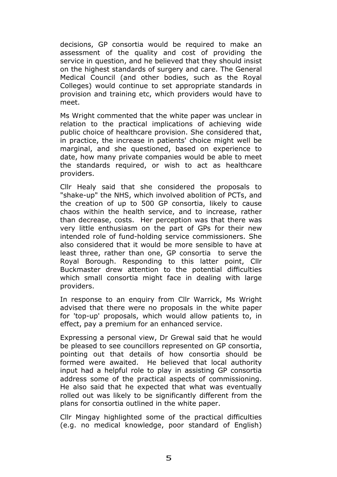decisions, GP consortia would be required to make an assessment of the quality and cost of providing the service in question, and he believed that they should insist on the highest standards of surgery and care. The General Medical Council (and other bodies, such as the Royal Colleges) would continue to set appropriate standards in provision and training etc, which providers would have to meet.

Ms Wright commented that the white paper was unclear in relation to the practical implications of achieving wide public choice of healthcare provision. She considered that, in practice, the increase in patients' choice might well be marginal, and she questioned, based on experience to date, how many private companies would be able to meet the standards required, or wish to act as healthcare providers.

Cllr Healy said that she considered the proposals to "shake-up" the NHS, which involved abolition of PCTs, and the creation of up to 500 GP consortia, likely to cause chaos within the health service, and to increase, rather than decrease, costs. Her perception was that there was very little enthusiasm on the part of GPs for their new intended role of fund-holding service commissioners. She also considered that it would be more sensible to have at least three, rather than one, GP consortia to serve the Royal Borough. Responding to this latter point, Cllr Buckmaster drew attention to the potential difficulties which small consortia might face in dealing with large providers.

In response to an enquiry from Cllr Warrick, Ms Wright advised that there were no proposals in the white paper for 'top-up' proposals, which would allow patients to, in effect, pay a premium for an enhanced service.

Expressing a personal view, Dr Grewal said that he would be pleased to see councillors represented on GP consortia, pointing out that details of how consortia should be formed were awaited. He believed that local authority input had a helpful role to play in assisting GP consortia address some of the practical aspects of commissioning. He also said that he expected that what was eventually rolled out was likely to be significantly different from the plans for consortia outlined in the white paper.

Cllr Mingay highlighted some of the practical difficulties (e.g. no medical knowledge, poor standard of English)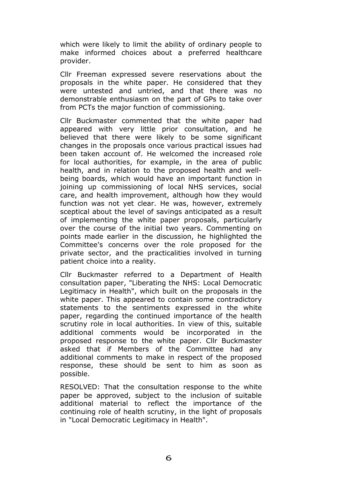which were likely to limit the ability of ordinary people to make informed choices about a preferred healthcare provider.

Cllr Freeman expressed severe reservations about the proposals in the white paper. He considered that they were untested and untried, and that there was no demonstrable enthusiasm on the part of GPs to take over from PCTs the major function of commissioning.

Cllr Buckmaster commented that the white paper had appeared with very little prior consultation, and he believed that there were likely to be some significant changes in the proposals once various practical issues had been taken account of. He welcomed the increased role for local authorities, for example, in the area of public health, and in relation to the proposed health and wellbeing boards, which would have an important function in joining up commissioning of local NHS services, social care, and health improvement, although how they would function was not yet clear. He was, however, extremely sceptical about the level of savings anticipated as a result of implementing the white paper proposals, particularly over the course of the initial two years. Commenting on points made earlier in the discussion, he highlighted the Committee's concerns over the role proposed for the private sector, and the practicalities involved in turning patient choice into a reality.

Cllr Buckmaster referred to a Department of Health consultation paper, "Liberating the NHS: Local Democratic Legitimacy in Health", which built on the proposals in the white paper. This appeared to contain some contradictory statements to the sentiments expressed in the white paper, regarding the continued importance of the health scrutiny role in local authorities. In view of this, suitable additional comments would be incorporated in the proposed response to the white paper. Cllr Buckmaster asked that if Members of the Committee had any additional comments to make in respect of the proposed response, these should be sent to him as soon as possible.

RESOLVED: That the consultation response to the white paper be approved, subject to the inclusion of suitable additional material to reflect the importance of the continuing role of health scrutiny, in the light of proposals in "Local Democratic Legitimacy in Health".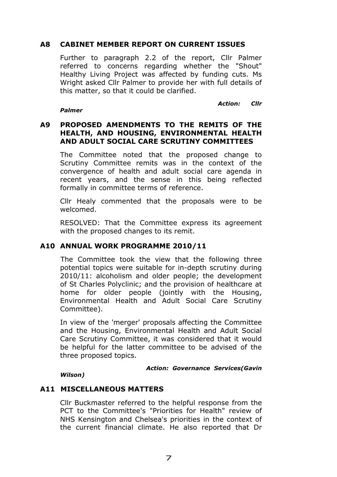### **A8 CABINET MEMBER REPORT ON CURRENT ISSUES**

Further to paragraph 2.2 of the report, Cllr Palmer referred to concerns regarding whether the "Shout" Healthy Living Project was affected by funding cuts. Ms Wright asked Cllr Palmer to provide her with full details of this matter, so that it could be clarified.

*Action: Cllr* 

#### *Palmer*

### **A9 PROPOSED AMENDMENTS TO THE REMITS OF THE HEALTH, AND HOUSING, ENVIRONMENTAL HEALTH AND ADULT SOCIAL CARE SCRUTINY COMMITTEES**

The Committee noted that the proposed change to Scrutiny Committee remits was in the context of the convergence of health and adult social care agenda in recent years, and the sense in this being reflected formally in committee terms of reference.

Cllr Healy commented that the proposals were to be welcomed.

RESOLVED: That the Committee express its agreement with the proposed changes to its remit.

## **A10 ANNUAL WORK PROGRAMME 2010/11**

 The Committee took the view that the following three potential topics were suitable for in-depth scrutiny during 2010/11: alcoholism and older people; the development of St Charles Polyclinic; and the provision of healthcare at home for older people (jointly with the Housing, Environmental Health and Adult Social Care Scrutiny Committee).

In view of the 'merger' proposals affecting the Committee and the Housing, Environmental Health and Adult Social Care Scrutiny Committee, it was considered that it would be helpful for the latter committee to be advised of the three proposed topics.

*Action: Governance Services(Gavin* 

*Wilson)* 

## **A11 MISCELLANEOUS MATTERS**

Cllr Buckmaster referred to the helpful response from the PCT to the Committee's "Priorities for Health" review of NHS Kensington and Chelsea's priorities in the context of the current financial climate. He also reported that Dr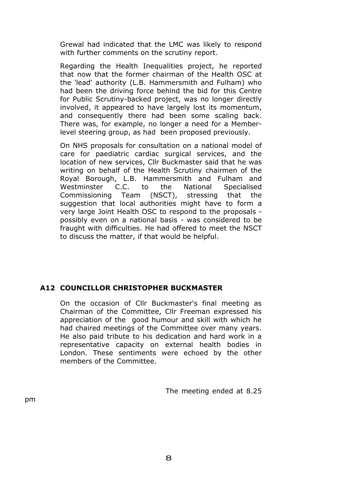Grewal had indicated that the LMC was likely to respond with further comments on the scrutiny report.

Regarding the Health Inequalities project, he reported that now that the former chairman of the Health OSC at the 'lead' authority (L.B. Hammersmith and Fulham) who had been the driving force behind the bid for this Centre for Public Scrutiny-backed project, was no longer directly involved, it appeared to have largely lost its momentum, and consequently there had been some scaling back. There was, for example, no longer a need for a Memberlevel steering group, as had been proposed previously.

On NHS proposals for consultation on a national model of care for paediatric cardiac surgical services, and the location of new services, Cllr Buckmaster said that he was writing on behalf of the Health Scrutiny chairmen of the Royal Borough, L.B. Hammersmith and Fulham and Westminster C.C. to the National Specialised Commissioning Team (NSCT), stressing that the suggestion that local authorities might have to form a very large Joint Health OSC to respond to the proposals possibly even on a national basis - was considered to be fraught with difficulties. He had offered to meet the NSCT to discuss the matter, if that would be helpful.

# **A12 COUNCILLOR CHRISTOPHER BUCKMASTER**

On the occasion of Cllr Buckmaster's final meeting as Chairman of the Committee, Cllr Freeman expressed his appreciation of the good humour and skill with which he had chaired meetings of the Committee over many years. He also paid tribute to his dedication and hard work in a representative capacity on external health bodies in London. These sentiments were echoed by the other members of the Committee.

pm